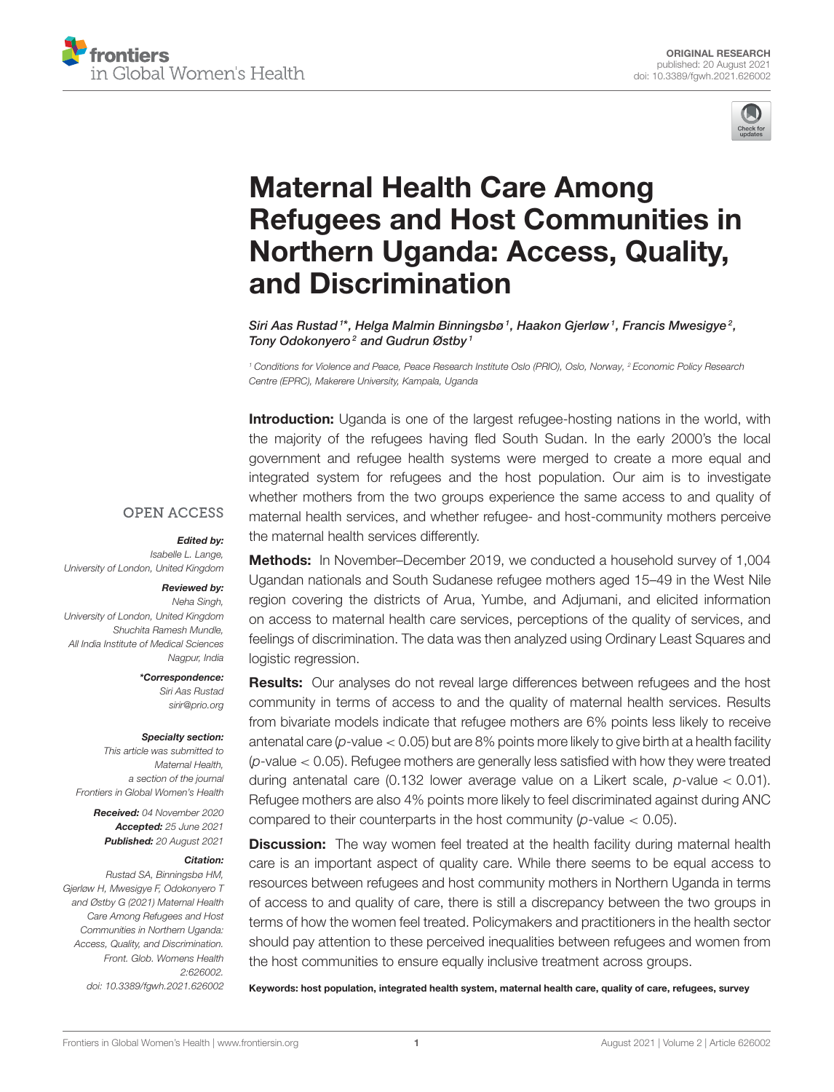



# Maternal Health Care Among [Refugees and Host Communities in](https://www.frontiersin.org/articles/10.3389/fgwh.2021.626002/full) Northern Uganda: Access, Quality, and Discrimination

Siri Aas Rustad  $^{\ast\ast}$ , Helga Malmin Binningsbø  $^{\prime}$ , Haakon Gjerløw  $^{\prime}$ , Francis Mwesigye $^{\circ}$ , Tony Odokonyero<sup>2</sup> and Gudrun Østby<sup>1</sup>

*<sup>1</sup> Conditions for Violence and Peace, Peace Research Institute Oslo (PRIO), Oslo, Norway, <sup>2</sup> Economic Policy Research Centre (EPRC), Makerere University, Kampala, Uganda*

Introduction: Uganda is one of the largest refugee-hosting nations in the world, with the majority of the refugees having fled South Sudan. In the early 2000's the local government and refugee health systems were merged to create a more equal and integrated system for refugees and the host population. Our aim is to investigate whether mothers from the two groups experience the same access to and quality of maternal health services, and whether refugee- and host-community mothers perceive the maternal health services differently.

### **OPEN ACCESS**

### Edited by:

*Isabelle L. Lange, University of London, United Kingdom*

### Reviewed by:

*Neha Singh, University of London, United Kingdom Shuchita Ramesh Mundle, All India Institute of Medical Sciences Nagpur, India*

> \*Correspondence: *Siri Aas Rustad [sirir@prio.org](mailto:sirir@prio.org)*

#### Specialty section:

*This article was submitted to Maternal Health, a section of the journal Frontiers in Global Women's Health*

> Received: *04 November 2020* Accepted: *25 June 2021* Published: *20 August 2021*

#### Citation:

*Rustad SA, Binningsbø HM, Gjerløw H, Mwesigye F, Odokonyero T and Østby G (2021) Maternal Health Care Among Refugees and Host Communities in Northern Uganda: Access, Quality, and Discrimination. Front. Glob. Womens Health 2:626002. doi: [10.3389/fgwh.2021.626002](https://doi.org/10.3389/fgwh.2021.626002)*

Methods: In November–December 2019, we conducted a household survey of 1,004 Ugandan nationals and South Sudanese refugee mothers aged 15–49 in the West Nile region covering the districts of Arua, Yumbe, and Adjumani, and elicited information on access to maternal health care services, perceptions of the quality of services, and feelings of discrimination. The data was then analyzed using Ordinary Least Squares and logistic regression.

**Results:** Our analyses do not reveal large differences between refugees and the host community in terms of access to and the quality of maternal health services. Results from bivariate models indicate that refugee mothers are 6% points less likely to receive antenatal care (*p*-value < 0.05) but are 8% points more likely to give birth at a health facility (*p*-value < 0.05). Refugee mothers are generally less satisfied with how they were treated during antenatal care (0.132 lower average value on a Likert scale, *p*-value < 0.01). Refugee mothers are also 4% points more likely to feel discriminated against during ANC compared to their counterparts in the host community (*p*-value < 0.05).

**Discussion:** The way women feel treated at the health facility during maternal health care is an important aspect of quality care. While there seems to be equal access to resources between refugees and host community mothers in Northern Uganda in terms of access to and quality of care, there is still a discrepancy between the two groups in terms of how the women feel treated. Policymakers and practitioners in the health sector should pay attention to these perceived inequalities between refugees and women from the host communities to ensure equally inclusive treatment across groups.

Keywords: host population, integrated health system, maternal health care, quality of care, refugees, survey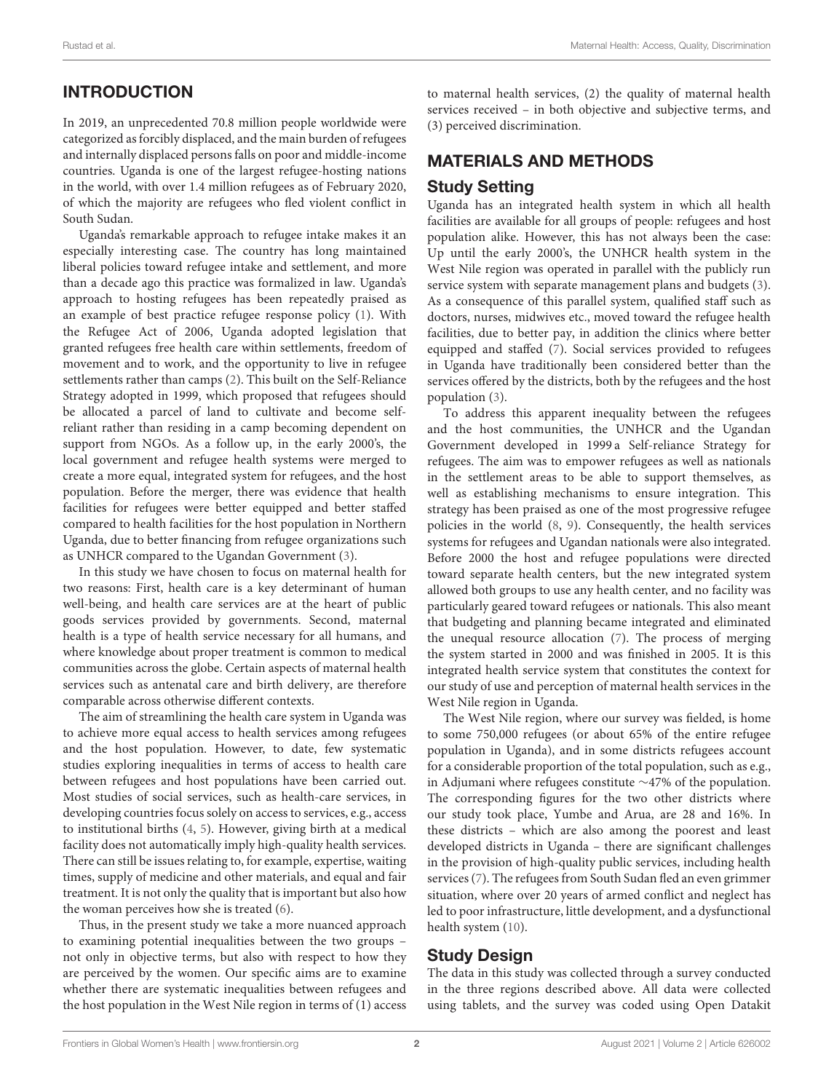# INTRODUCTION

In 2019, an unprecedented 70.8 million people worldwide were categorized as forcibly displaced, and the main burden of refugees and internally displaced persons falls on poor and middle-income countries. Uganda is one of the largest refugee-hosting nations in the world, with over 1.4 million refugees as of February 2020, of which the majority are refugees who fled violent conflict in South Sudan.

Uganda's remarkable approach to refugee intake makes it an especially interesting case. The country has long maintained liberal policies toward refugee intake and settlement, and more than a decade ago this practice was formalized in law. Uganda's approach to hosting refugees has been repeatedly praised as an example of best practice refugee response policy [\(1\)](#page-11-0). With the Refugee Act of 2006, Uganda adopted legislation that granted refugees free health care within settlements, freedom of movement and to work, and the opportunity to live in refugee settlements rather than camps [\(2\)](#page-11-1). This built on the Self-Reliance Strategy adopted in 1999, which proposed that refugees should be allocated a parcel of land to cultivate and become selfreliant rather than residing in a camp becoming dependent on support from NGOs. As a follow up, in the early 2000's, the local government and refugee health systems were merged to create a more equal, integrated system for refugees, and the host population. Before the merger, there was evidence that health facilities for refugees were better equipped and better staffed compared to health facilities for the host population in Northern Uganda, due to better financing from refugee organizations such as UNHCR compared to the Ugandan Government [\(3\)](#page-12-0).

In this study we have chosen to focus on maternal health for two reasons: First, health care is a key determinant of human well-being, and health care services are at the heart of public goods services provided by governments. Second, maternal health is a type of health service necessary for all humans, and where knowledge about proper treatment is common to medical communities across the globe. Certain aspects of maternal health services such as antenatal care and birth delivery, are therefore comparable across otherwise different contexts.

The aim of streamlining the health care system in Uganda was to achieve more equal access to health services among refugees and the host population. However, to date, few systematic studies exploring inequalities in terms of access to health care between refugees and host populations have been carried out. Most studies of social services, such as health-care services, in developing countries focus solely on access to services, e.g., access to institutional births [\(4,](#page-12-1) [5\)](#page-12-2). However, giving birth at a medical facility does not automatically imply high-quality health services. There can still be issues relating to, for example, expertise, waiting times, supply of medicine and other materials, and equal and fair treatment. It is not only the quality that is important but also how the woman perceives how she is treated [\(6\)](#page-12-3).

Thus, in the present study we take a more nuanced approach to examining potential inequalities between the two groups – not only in objective terms, but also with respect to how they are perceived by the women. Our specific aims are to examine whether there are systematic inequalities between refugees and the host population in the West Nile region in terms of (1) access to maternal health services, (2) the quality of maternal health services received – in both objective and subjective terms, and (3) perceived discrimination.

# MATERIALS AND METHODS

# Study Setting

Uganda has an integrated health system in which all health facilities are available for all groups of people: refugees and host population alike. However, this has not always been the case: Up until the early 2000's, the UNHCR health system in the West Nile region was operated in parallel with the publicly run service system with separate management plans and budgets [\(3\)](#page-12-0). As a consequence of this parallel system, qualified staff such as doctors, nurses, midwives etc., moved toward the refugee health facilities, due to better pay, in addition the clinics where better equipped and staffed [\(7\)](#page-12-4). Social services provided to refugees in Uganda have traditionally been considered better than the services offered by the districts, both by the refugees and the host population [\(3\)](#page-12-0).

To address this apparent inequality between the refugees and the host communities, the UNHCR and the Ugandan Government developed in 1999 a Self-reliance Strategy for refugees. The aim was to empower refugees as well as nationals in the settlement areas to be able to support themselves, as well as establishing mechanisms to ensure integration. This strategy has been praised as one of the most progressive refugee policies in the world [\(8,](#page-12-5) [9\)](#page-12-6). Consequently, the health services systems for refugees and Ugandan nationals were also integrated. Before 2000 the host and refugee populations were directed toward separate health centers, but the new integrated system allowed both groups to use any health center, and no facility was particularly geared toward refugees or nationals. This also meant that budgeting and planning became integrated and eliminated the unequal resource allocation [\(7\)](#page-12-4). The process of merging the system started in 2000 and was finished in 2005. It is this integrated health service system that constitutes the context for our study of use and perception of maternal health services in the West Nile region in Uganda.

The West Nile region, where our survey was fielded, is home to some 750,000 refugees (or about 65% of the entire refugee population in Uganda), and in some districts refugees account for a considerable proportion of the total population, such as e.g., in Adjumani where refugees constitute ∼47% of the population. The corresponding figures for the two other districts where our study took place, Yumbe and Arua, are 28 and 16%. In these districts – which are also among the poorest and least developed districts in Uganda – there are significant challenges in the provision of high-quality public services, including health services [\(7\)](#page-12-4). The refugees from South Sudan fled an even grimmer situation, where over 20 years of armed conflict and neglect has led to poor infrastructure, little development, and a dysfunctional health system [\(10\)](#page-12-7).

### Study Design

The data in this study was collected through a survey conducted in the three regions described above. All data were collected using tablets, and the survey was coded using Open Datakit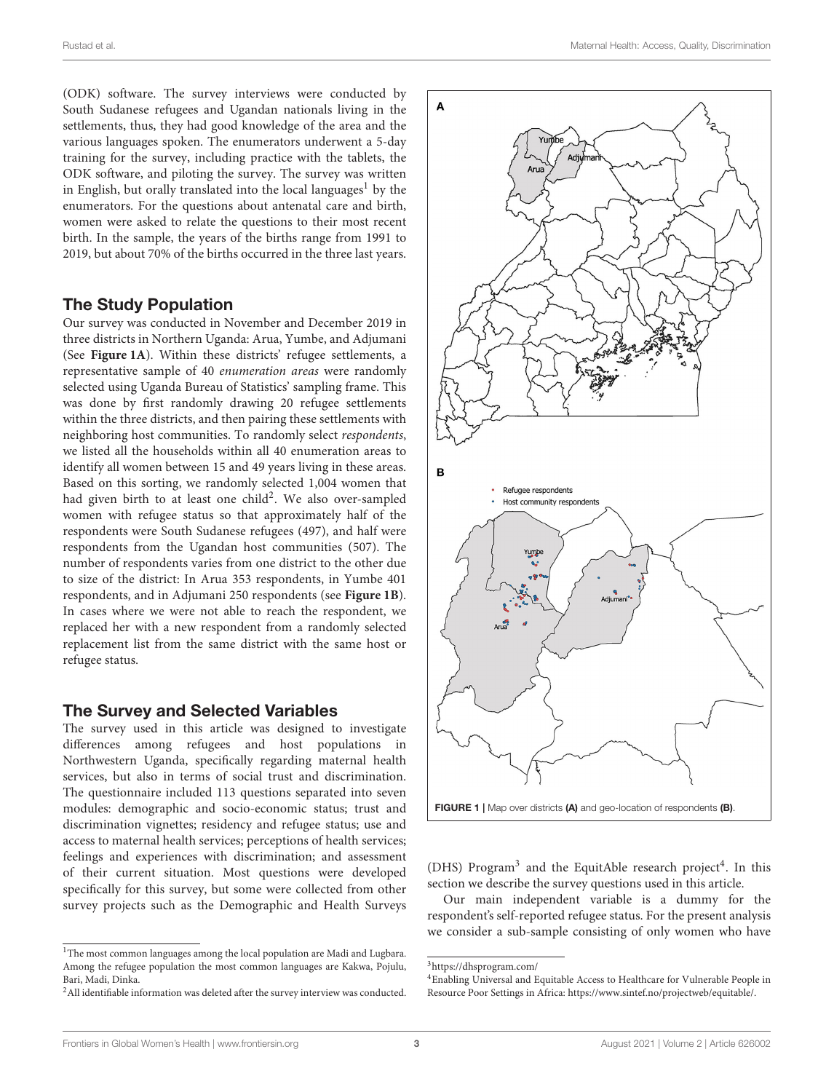(ODK) software. The survey interviews were conducted by South Sudanese refugees and Ugandan nationals living in the settlements, thus, they had good knowledge of the area and the various languages spoken. The enumerators underwent a 5-day training for the survey, including practice with the tablets, the ODK software, and piloting the survey. The survey was written in English, but orally translated into the local languages<sup>[1](#page-2-0)</sup> by the enumerators. For the questions about antenatal care and birth, women were asked to relate the questions to their most recent birth. In the sample, the years of the births range from 1991 to 2019, but about 70% of the births occurred in the three last years.

### The Study Population

Our survey was conducted in November and December 2019 in three districts in Northern Uganda: Arua, Yumbe, and Adjumani (See **[Figure 1A](#page-2-1)**). Within these districts' refugee settlements, a representative sample of 40 enumeration areas were randomly selected using Uganda Bureau of Statistics' sampling frame. This was done by first randomly drawing 20 refugee settlements within the three districts, and then pairing these settlements with neighboring host communities. To randomly select respondents, we listed all the households within all 40 enumeration areas to identify all women between 15 and 49 years living in these areas. Based on this sorting, we randomly selected 1,004 women that had given birth to at least one child<sup>[2](#page-2-2)</sup>. We also over-sampled women with refugee status so that approximately half of the respondents were South Sudanese refugees (497), and half were respondents from the Ugandan host communities (507). The number of respondents varies from one district to the other due to size of the district: In Arua 353 respondents, in Yumbe 401 respondents, and in Adjumani 250 respondents (see **[Figure 1B](#page-2-1)**). In cases where we were not able to reach the respondent, we replaced her with a new respondent from a randomly selected replacement list from the same district with the same host or refugee status.

### The Survey and Selected Variables

The survey used in this article was designed to investigate differences among refugees and host populations in Northwestern Uganda, specifically regarding maternal health services, but also in terms of social trust and discrimination. The questionnaire included 113 questions separated into seven modules: demographic and socio-economic status; trust and discrimination vignettes; residency and refugee status; use and access to maternal health services; perceptions of health services; feelings and experiences with discrimination; and assessment of their current situation. Most questions were developed specifically for this survey, but some were collected from other survey projects such as the Demographic and Health Surveys



<span id="page-2-1"></span>(DHS) Program<sup>[3](#page-2-3)</sup> and the EquitAble research project<sup>[4](#page-2-4)</sup>. In this section we describe the survey questions used in this article.

Our main independent variable is a dummy for the respondent's self-reported refugee status. For the present analysis we consider a sub-sample consisting of only women who have

<span id="page-2-0"></span> $^{\rm 1}$  The most common languages among the local population are Madi and Lugbara. Among the refugee population the most common languages are Kakwa, Pojulu, Bari, Madi, Dinka.

<span id="page-2-2"></span><sup>2</sup>All identifiable information was deleted after the survey interview was conducted.

<span id="page-2-3"></span> $^3$ <https://dhsprogram.com/>

<span id="page-2-4"></span><sup>4</sup>Enabling Universal and Equitable Access to Healthcare for Vulnerable People in Resource Poor Settings in Africa: [https://www.sintef.no/projectweb/equitable/.](https://www.sintef.no/projectweb/equitable/)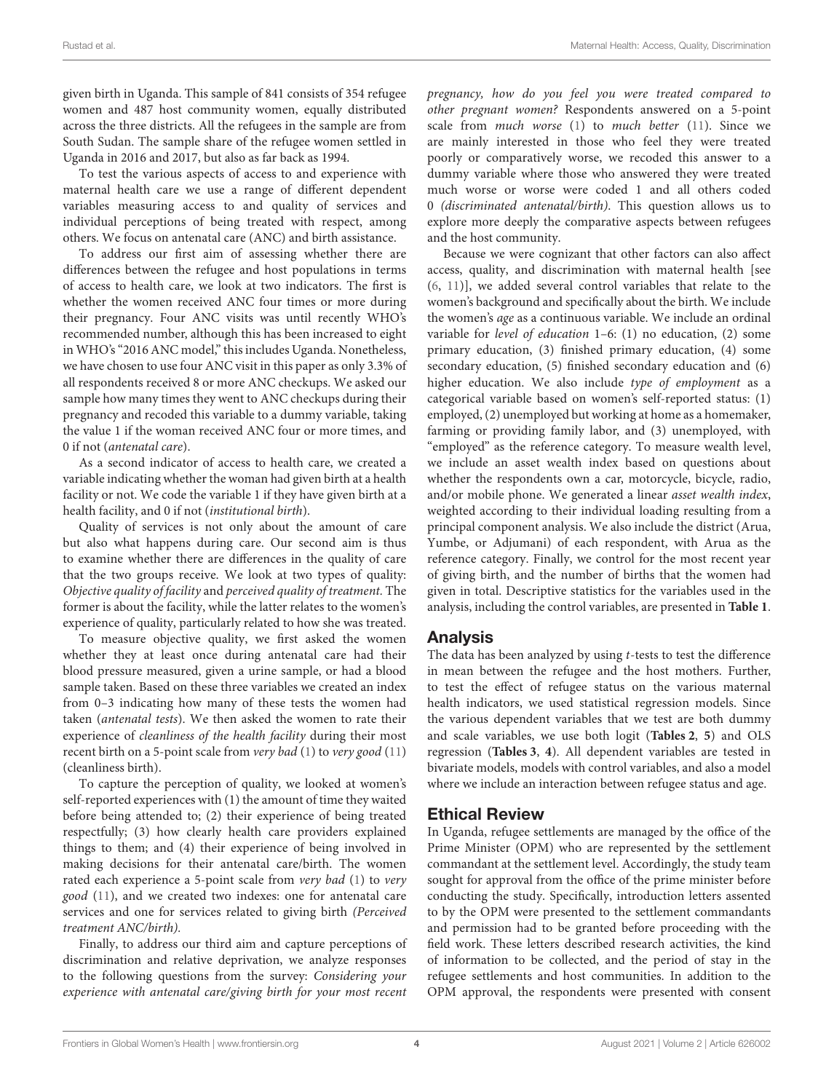given birth in Uganda. This sample of 841 consists of 354 refugee women and 487 host community women, equally distributed across the three districts. All the refugees in the sample are from South Sudan. The sample share of the refugee women settled in Uganda in 2016 and 2017, but also as far back as 1994.

To test the various aspects of access to and experience with maternal health care we use a range of different dependent variables measuring access to and quality of services and individual perceptions of being treated with respect, among others. We focus on antenatal care (ANC) and birth assistance.

To address our first aim of assessing whether there are differences between the refugee and host populations in terms of access to health care, we look at two indicators. The first is whether the women received ANC four times or more during their pregnancy. Four ANC visits was until recently WHO's recommended number, although this has been increased to eight in WHO's "2016 ANC model," this includes Uganda. Nonetheless, we have chosen to use four ANC visit in this paper as only 3.3% of all respondents received 8 or more ANC checkups. We asked our sample how many times they went to ANC checkups during their pregnancy and recoded this variable to a dummy variable, taking the value 1 if the woman received ANC four or more times, and 0 if not (antenatal care).

As a second indicator of access to health care, we created a variable indicating whether the woman had given birth at a health facility or not. We code the variable 1 if they have given birth at a health facility, and 0 if not (institutional birth).

Quality of services is not only about the amount of care but also what happens during care. Our second aim is thus to examine whether there are differences in the quality of care that the two groups receive. We look at two types of quality: Objective quality of facility and perceived quality of treatment. The former is about the facility, while the latter relates to the women's experience of quality, particularly related to how she was treated.

To measure objective quality, we first asked the women whether they at least once during antenatal care had their blood pressure measured, given a urine sample, or had a blood sample taken. Based on these three variables we created an index from 0–3 indicating how many of these tests the women had taken (antenatal tests). We then asked the women to rate their experience of cleanliness of the health facility during their most recent birth on a 5-point scale from very bad [\(1\)](#page-11-0) to very good [\(11\)](#page-12-8) (cleanliness birth).

To capture the perception of quality, we looked at women's self-reported experiences with (1) the amount of time they waited before being attended to; (2) their experience of being treated respectfully; (3) how clearly health care providers explained things to them; and (4) their experience of being involved in making decisions for their antenatal care/birth. The women rated each experience a 5-point scale from very bad [\(1\)](#page-11-0) to very good [\(11\)](#page-12-8), and we created two indexes: one for antenatal care services and one for services related to giving birth (Perceived treatment ANC/birth).

Finally, to address our third aim and capture perceptions of discrimination and relative deprivation, we analyze responses to the following questions from the survey: Considering your experience with antenatal care/giving birth for your most recent pregnancy, how do you feel you were treated compared to other pregnant women? Respondents answered on a 5-point scale from much worse  $(1)$  to much better  $(11)$ . Since we are mainly interested in those who feel they were treated poorly or comparatively worse, we recoded this answer to a dummy variable where those who answered they were treated much worse or worse were coded 1 and all others coded 0 (discriminated antenatal/birth). This question allows us to explore more deeply the comparative aspects between refugees and the host community.

Because we were cognizant that other factors can also affect access, quality, and discrimination with maternal health [see [\(6,](#page-12-3) [11\)](#page-12-8)], we added several control variables that relate to the women's background and specifically about the birth. We include the women's age as a continuous variable. We include an ordinal variable for level of education 1–6: (1) no education, (2) some primary education, (3) finished primary education, (4) some secondary education, (5) finished secondary education and (6) higher education. We also include type of employment as a categorical variable based on women's self-reported status: (1) employed, (2) unemployed but working at home as a homemaker, farming or providing family labor, and (3) unemployed, with "employed" as the reference category. To measure wealth level, we include an asset wealth index based on questions about whether the respondents own a car, motorcycle, bicycle, radio, and/or mobile phone. We generated a linear asset wealth index, weighted according to their individual loading resulting from a principal component analysis. We also include the district (Arua, Yumbe, or Adjumani) of each respondent, with Arua as the reference category. Finally, we control for the most recent year of giving birth, and the number of births that the women had given in total. Descriptive statistics for the variables used in the analysis, including the control variables, are presented in **[Table 1](#page-4-0)**.

### Analysis

The data has been analyzed by using  $t$ -tests to test the difference in mean between the refugee and the host mothers. Further, to test the effect of refugee status on the various maternal health indicators, we used statistical regression models. Since the various dependent variables that we test are both dummy and scale variables, we use both logit (**[Tables 2](#page-5-0)**, **[5](#page-10-0)**) and OLS regression (**[Tables 3](#page-6-0)**, **[4](#page-7-0)**). All dependent variables are tested in bivariate models, models with control variables, and also a model where we include an interaction between refugee status and age.

### Ethical Review

In Uganda, refugee settlements are managed by the office of the Prime Minister (OPM) who are represented by the settlement commandant at the settlement level. Accordingly, the study team sought for approval from the office of the prime minister before conducting the study. Specifically, introduction letters assented to by the OPM were presented to the settlement commandants and permission had to be granted before proceeding with the field work. These letters described research activities, the kind of information to be collected, and the period of stay in the refugee settlements and host communities. In addition to the OPM approval, the respondents were presented with consent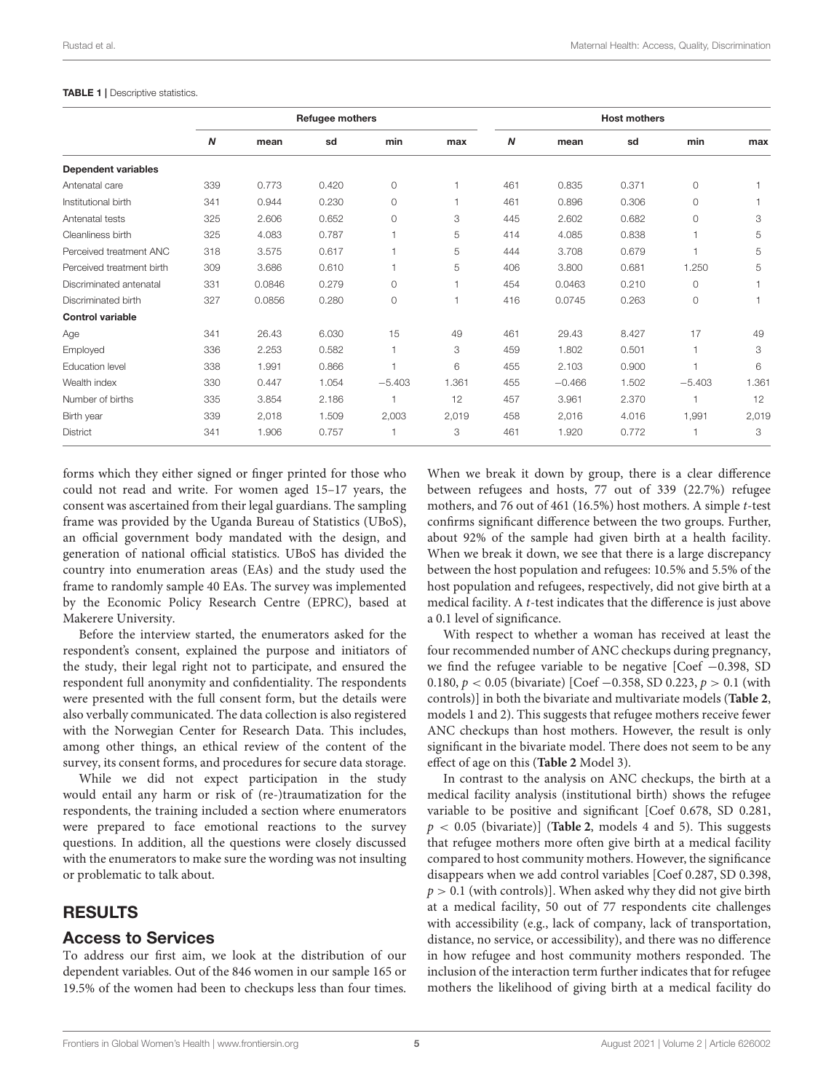#### <span id="page-4-0"></span>TABLE 1 | Descriptive statistics.

|                            | Refugee mothers  |        |       |          |                | <b>Host mothers</b> |          |       |          |       |
|----------------------------|------------------|--------|-------|----------|----------------|---------------------|----------|-------|----------|-------|
|                            | $\boldsymbol{N}$ | mean   | sd    | min      | max            | $\boldsymbol{N}$    | mean     | sd    | min      | max   |
| <b>Dependent variables</b> |                  |        |       |          |                |                     |          |       |          |       |
| Antenatal care             | 339              | 0.773  | 0.420 | $\circ$  |                | 461                 | 0.835    | 0.371 | $\Omega$ |       |
| Institutional birth        | 341              | 0.944  | 0.230 | $\circ$  | $\overline{1}$ | 461                 | 0.896    | 0.306 | $\circ$  |       |
| Antenatal tests            | 325              | 2.606  | 0.652 | $\circ$  | 3              | 445                 | 2.602    | 0.682 | $\circ$  | 3     |
| Cleanliness birth          | 325              | 4.083  | 0.787 |          | 5              | 414                 | 4.085    | 0.838 |          | 5     |
| Perceived treatment ANC    | 318              | 3.575  | 0.617 |          | 5              | 444                 | 3.708    | 0.679 |          | 5     |
| Perceived treatment birth  | 309              | 3.686  | 0.610 |          | 5              | 406                 | 3.800    | 0.681 | 1.250    | 5     |
| Discriminated antenatal    | 331              | 0.0846 | 0.279 | $\circ$  | н              | 454                 | 0.0463   | 0.210 | $\circ$  |       |
| Discriminated birth        | 327              | 0.0856 | 0.280 | $\circ$  | $\mathbf 1$    | 416                 | 0.0745   | 0.263 | $\circ$  |       |
| <b>Control variable</b>    |                  |        |       |          |                |                     |          |       |          |       |
| Age                        | 341              | 26.43  | 6.030 | 15       | 49             | 461                 | 29.43    | 8.427 | 17       | 49    |
| Employed                   | 336              | 2.253  | 0.582 |          | 3              | 459                 | 1.802    | 0.501 |          | 3     |
| Education level            | 338              | 1.991  | 0.866 |          | 6              | 455                 | 2.103    | 0.900 |          | 6     |
| Wealth index               | 330              | 0.447  | 1.054 | $-5.403$ | 1.361          | 455                 | $-0.466$ | 1.502 | $-5.403$ | 1.361 |
| Number of births           | 335              | 3.854  | 2.186 |          | 12             | 457                 | 3.961    | 2.370 |          | 12    |
| Birth year                 | 339              | 2,018  | 1.509 | 2,003    | 2,019          | 458                 | 2,016    | 4.016 | 1,991    | 2,019 |
| <b>District</b>            | 341              | 1.906  | 0.757 |          | 3              | 461                 | 1.920    | 0.772 |          | 3     |

forms which they either signed or finger printed for those who could not read and write. For women aged 15–17 years, the consent was ascertained from their legal guardians. The sampling frame was provided by the Uganda Bureau of Statistics (UBoS), an official government body mandated with the design, and generation of national official statistics. UBoS has divided the country into enumeration areas (EAs) and the study used the frame to randomly sample 40 EAs. The survey was implemented by the Economic Policy Research Centre (EPRC), based at Makerere University.

Before the interview started, the enumerators asked for the respondent's consent, explained the purpose and initiators of the study, their legal right not to participate, and ensured the respondent full anonymity and confidentiality. The respondents were presented with the full consent form, but the details were also verbally communicated. The data collection is also registered with the Norwegian Center for Research Data. This includes, among other things, an ethical review of the content of the survey, its consent forms, and procedures for secure data storage.

While we did not expect participation in the study would entail any harm or risk of (re-)traumatization for the respondents, the training included a section where enumerators were prepared to face emotional reactions to the survey questions. In addition, all the questions were closely discussed with the enumerators to make sure the wording was not insulting or problematic to talk about.

### RESULTS

### Access to Services

To address our first aim, we look at the distribution of our dependent variables. Out of the 846 women in our sample 165 or 19.5% of the women had been to checkups less than four times.

When we break it down by group, there is a clear difference between refugees and hosts, 77 out of 339 (22.7%) refugee mothers, and 76 out of 461 (16.5%) host mothers. A simple t-test confirms significant difference between the two groups. Further, about 92% of the sample had given birth at a health facility. When we break it down, we see that there is a large discrepancy between the host population and refugees: 10.5% and 5.5% of the host population and refugees, respectively, did not give birth at a medical facility. A t-test indicates that the difference is just above a 0.1 level of significance.

With respect to whether a woman has received at least the four recommended number of ANC checkups during pregnancy, we find the refugee variable to be negative [Coef −0.398, SD 0.180,  $p < 0.05$  (bivariate) [Coef -0.358, SD 0.223,  $p > 0.1$  (with controls)] in both the bivariate and multivariate models (**[Table 2](#page-5-0)**, models 1 and 2). This suggests that refugee mothers receive fewer ANC checkups than host mothers. However, the result is only significant in the bivariate model. There does not seem to be any effect of age on this (**[Table 2](#page-5-0)** Model 3).

In contrast to the analysis on ANC checkups, the birth at a medical facility analysis (institutional birth) shows the refugee variable to be positive and significant [Coef 0.678, SD 0.281,  $p < 0.05$  (bivariate)] (**[Table 2](#page-5-0)**, models 4 and 5). This suggests that refugee mothers more often give birth at a medical facility compared to host community mothers. However, the significance disappears when we add control variables [Coef 0.287, SD 0.398,  $p > 0.1$  (with controls)]. When asked why they did not give birth at a medical facility, 50 out of 77 respondents cite challenges with accessibility (e.g., lack of company, lack of transportation, distance, no service, or accessibility), and there was no difference in how refugee and host community mothers responded. The inclusion of the interaction term further indicates that for refugee mothers the likelihood of giving birth at a medical facility do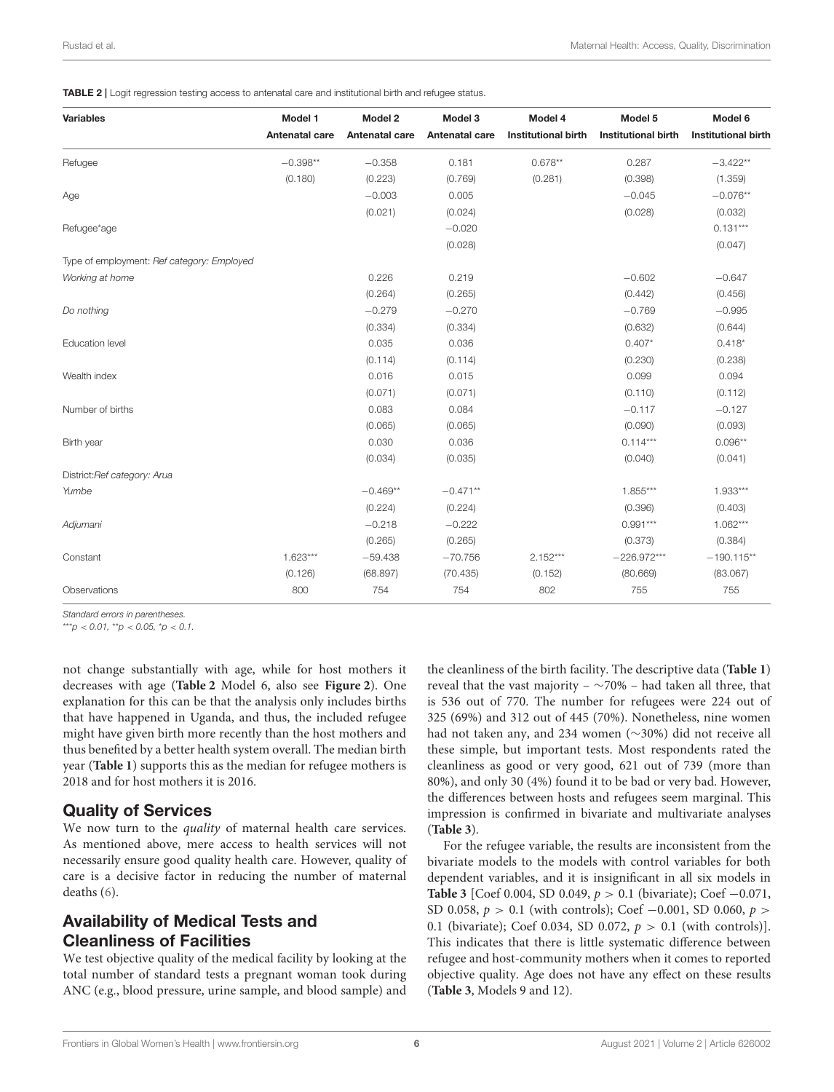<span id="page-5-0"></span>TABLE 2 | Logit regression testing access to antenatal care and institutional birth and refugee status.

| <b>Variables</b>                           | Model 1        | Model 2        | Model 3        | Model 4                    | Model 5                    | Model 6                    |
|--------------------------------------------|----------------|----------------|----------------|----------------------------|----------------------------|----------------------------|
|                                            | Antenatal care | Antenatal care | Antenatal care | <b>Institutional birth</b> | <b>Institutional birth</b> | <b>Institutional birth</b> |
| Refugee                                    | $-0.398**$     | $-0.358$       | 0.181          | $0.678**$                  | 0.287                      | $-3.422**$                 |
|                                            | (0.180)        | (0.223)        | (0.769)        | (0.281)                    | (0.398)                    | (1.359)                    |
| Age                                        |                | $-0.003$       | 0.005          |                            | $-0.045$                   | $-0.076**$                 |
|                                            |                | (0.021)        | (0.024)        |                            | (0.028)                    | (0.032)                    |
| Refugee*age                                |                |                | $-0.020$       |                            |                            | $0.131***$                 |
|                                            |                |                | (0.028)        |                            |                            | (0.047)                    |
| Type of employment: Ref category: Employed |                |                |                |                            |                            |                            |
| Working at home                            |                | 0.226          | 0.219          |                            | $-0.602$                   | $-0.647$                   |
|                                            |                | (0.264)        | (0.265)        |                            | (0.442)                    | (0.456)                    |
| Do nothing                                 |                | $-0.279$       | $-0.270$       |                            | $-0.769$                   | $-0.995$                   |
|                                            |                | (0.334)        | (0.334)        |                            | (0.632)                    | (0.644)                    |
| <b>Education level</b>                     |                | 0.035          | 0.036          |                            | $0.407*$                   | $0.418*$                   |
|                                            |                | (0.114)        | (0.114)        |                            | (0.230)                    | (0.238)                    |
| Wealth index                               |                | 0.016          | 0.015          |                            | 0.099                      | 0.094                      |
|                                            |                | (0.071)        | (0.071)        |                            | (0.110)                    | (0.112)                    |
| Number of births                           |                | 0.083          | 0.084          |                            | $-0.117$                   | $-0.127$                   |
|                                            |                | (0.065)        | (0.065)        |                            | (0.090)                    | (0.093)                    |
| Birth year                                 |                | 0.030          | 0.036          |                            | $0.114***$                 | $0.096**$                  |
|                                            |                | (0.034)        | (0.035)        |                            | (0.040)                    | (0.041)                    |
| District:Ref category: Arua                |                |                |                |                            |                            |                            |
| Yumbe                                      |                | $-0.469**$     | $-0.471**$     |                            | $1.855***$                 | $1.933***$                 |
|                                            |                | (0.224)        | (0.224)        |                            | (0.396)                    | (0.403)                    |
| Adjumani                                   |                | $-0.218$       | $-0.222$       |                            | $0.991***$                 | $1.062***$                 |
|                                            |                | (0.265)        | (0.265)        |                            | (0.373)                    | (0.384)                    |
| Constant                                   | $1.623***$     | $-59.438$      | $-70.756$      | $2.152***$                 | $-226.972***$              | $-190.115**$               |
|                                            | (0.126)        | (68.897)       | (70.435)       | (0.152)                    | (80.669)                   | (83.067)                   |
| Observations                               | 800            | 754            | 754            | 802                        | 755                        | 755                        |

*Standard errors in parentheses.*

 $***p$  < 0.01, \*\*p < 0.05, \*p < 0.1.

not change substantially with age, while for host mothers it decreases with age (**[Table 2](#page-5-0)** Model 6, also see **[Figure 2](#page-8-0)**). One explanation for this can be that the analysis only includes births that have happened in Uganda, and thus, the included refugee might have given birth more recently than the host mothers and thus benefited by a better health system overall. The median birth year (**[Table 1](#page-4-0)**) supports this as the median for refugee mothers is 2018 and for host mothers it is 2016.

### Quality of Services

We now turn to the *quality* of maternal health care services. As mentioned above, mere access to health services will not necessarily ensure good quality health care. However, quality of care is a decisive factor in reducing the number of maternal deaths [\(6\)](#page-12-3).

# Availability of Medical Tests and Cleanliness of Facilities

We test objective quality of the medical facility by looking at the total number of standard tests a pregnant woman took during ANC (e.g., blood pressure, urine sample, and blood sample) and the cleanliness of the birth facility. The descriptive data (**[Table 1](#page-4-0)**) reveal that the vast majority –  $\sim$ 70% – had taken all three, that is 536 out of 770. The number for refugees were 224 out of 325 (69%) and 312 out of 445 (70%). Nonetheless, nine women had not taken any, and 234 women (∼30%) did not receive all these simple, but important tests. Most respondents rated the cleanliness as good or very good, 621 out of 739 (more than 80%), and only 30 (4%) found it to be bad or very bad. However, the differences between hosts and refugees seem marginal. This impression is confirmed in bivariate and multivariate analyses (**[Table 3](#page-6-0)**).

For the refugee variable, the results are inconsistent from the bivariate models to the models with control variables for both dependent variables, and it is insignificant in all six models in **[Table 3](#page-6-0)** [Coef 0.004, SD 0.049, p > 0.1 (bivariate); Coef −0.071, SD 0.058,  $p > 0.1$  (with controls); Coef -0.001, SD 0.060,  $p >$ 0.1 (bivariate); Coef 0.034, SD 0.072,  $p > 0.1$  (with controls)]. This indicates that there is little systematic difference between refugee and host-community mothers when it comes to reported objective quality. Age does not have any effect on these results (**[Table 3](#page-6-0)**, Models 9 and 12).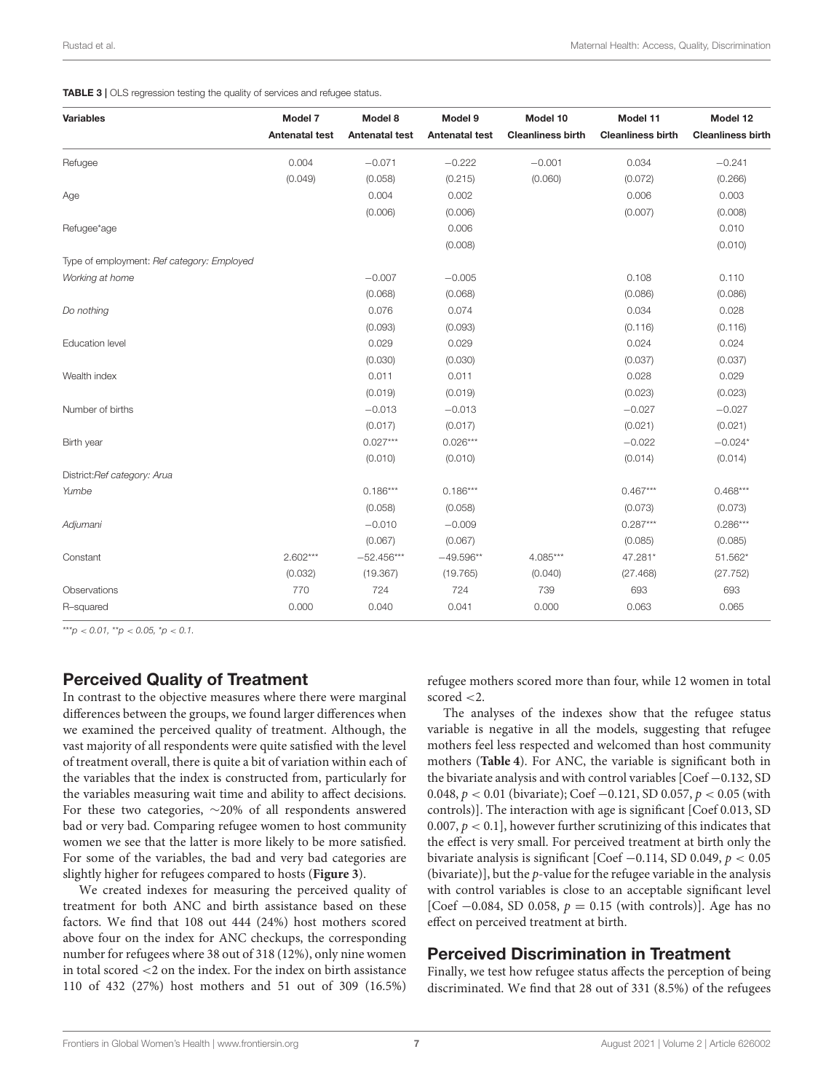#### <span id="page-6-0"></span>TABLE 3 | OLS regression testing the quality of services and refugee status.

| <b>Variables</b>                           | Model 7               | Model 8               | Model 9               | Model 10                 | Model 11                 | Model 12                 |
|--------------------------------------------|-----------------------|-----------------------|-----------------------|--------------------------|--------------------------|--------------------------|
|                                            | <b>Antenatal test</b> | <b>Antenatal test</b> | <b>Antenatal test</b> | <b>Cleanliness birth</b> | <b>Cleanliness birth</b> | <b>Cleanliness birth</b> |
| Refugee                                    | 0.004                 | $-0.071$              | $-0.222$              | $-0.001$                 | 0.034                    | $-0.241$                 |
|                                            | (0.049)               | (0.058)               | (0.215)               | (0.060)                  | (0.072)                  | (0.266)                  |
| Age                                        |                       | 0.004                 | 0.002                 |                          | 0.006                    | 0.003                    |
|                                            |                       | (0.006)               | (0.006)               |                          | (0.007)                  | (0.008)                  |
| Refugee*age                                |                       |                       | 0.006                 |                          |                          | 0.010                    |
|                                            |                       |                       | (0.008)               |                          |                          | (0.010)                  |
| Type of employment: Ref category: Employed |                       |                       |                       |                          |                          |                          |
| Working at home                            |                       | $-0.007$              | $-0.005$              |                          | 0.108                    | 0.110                    |
|                                            |                       | (0.068)               | (0.068)               |                          | (0.086)                  | (0.086)                  |
| Do nothing                                 |                       | 0.076                 | 0.074                 |                          | 0.034                    | 0.028                    |
|                                            |                       | (0.093)               | (0.093)               |                          | (0.116)                  | (0.116)                  |
| <b>Education level</b>                     |                       | 0.029                 | 0.029                 |                          | 0.024                    | 0.024                    |
|                                            |                       | (0.030)               | (0.030)               |                          | (0.037)                  | (0.037)                  |
| Wealth index                               |                       | 0.011                 | 0.011                 |                          | 0.028                    | 0.029                    |
|                                            |                       | (0.019)               | (0.019)               |                          | (0.023)                  | (0.023)                  |
| Number of births                           |                       | $-0.013$              | $-0.013$              |                          | $-0.027$                 | $-0.027$                 |
|                                            |                       | (0.017)               | (0.017)               |                          | (0.021)                  | (0.021)                  |
| Birth year                                 |                       | $0.027***$            | $0.026***$            |                          | $-0.022$                 | $-0.024*$                |
|                                            |                       | (0.010)               | (0.010)               |                          | (0.014)                  | (0.014)                  |
| District:Ref category: Arua                |                       |                       |                       |                          |                          |                          |
| Yumbe                                      |                       | $0.186***$            | $0.186***$            |                          | $0.467***$               | $0.468***$               |
|                                            |                       | (0.058)               | (0.058)               |                          | (0.073)                  | (0.073)                  |
| Adjumani                                   |                       | $-0.010$              | $-0.009$              |                          | $0.287***$               | $0.286***$               |
|                                            |                       | (0.067)               | (0.067)               |                          | (0.085)                  | (0.085)                  |
| Constant                                   | $2.602***$            | $-52.456***$          | $-49.596**$           | $4.085***$               | 47.281*                  | 51.562*                  |
|                                            | (0.032)               | (19.367)              | (19.765)              | (0.040)                  | (27.468)                 | (27.752)                 |
| Observations                               | 770                   | 724                   | 724                   | 739                      | 693                      | 693                      |
| R-squared                                  | 0.000                 | 0.040                 | 0.041                 | 0.000                    | 0.063                    | 0.065                    |

 $***p$  < 0.01, \*\*p < 0.05, \*p < 0.1.

### Perceived Quality of Treatment

In contrast to the objective measures where there were marginal differences between the groups, we found larger differences when we examined the perceived quality of treatment. Although, the vast majority of all respondents were quite satisfied with the level of treatment overall, there is quite a bit of variation within each of the variables that the index is constructed from, particularly for the variables measuring wait time and ability to affect decisions. For these two categories, ∼20% of all respondents answered bad or very bad. Comparing refugee women to host community women we see that the latter is more likely to be more satisfied. For some of the variables, the bad and very bad categories are slightly higher for refugees compared to hosts (**[Figure 3](#page-9-0)**).

We created indexes for measuring the perceived quality of treatment for both ANC and birth assistance based on these factors. We find that 108 out 444 (24%) host mothers scored above four on the index for ANC checkups, the corresponding number for refugees where 38 out of 318 (12%), only nine women in total scored <2 on the index. For the index on birth assistance 110 of 432 (27%) host mothers and 51 out of 309 (16.5%) refugee mothers scored more than four, while 12 women in total scored <2.

The analyses of the indexes show that the refugee status variable is negative in all the models, suggesting that refugee mothers feel less respected and welcomed than host community mothers (**[Table 4](#page-7-0)**). For ANC, the variable is significant both in the bivariate analysis and with control variables [Coef −0.132, SD 0.048, p < 0.01 (bivariate); Coef −0.121, SD 0.057, p < 0.05 (with controls)]. The interaction with age is significant [Coef 0.013, SD 0.007,  $p < 0.1$ ], however further scrutinizing of this indicates that the effect is very small. For perceived treatment at birth only the bivariate analysis is significant [Coef −0.114, SD 0.049, p < 0.05 (bivariate)], but the  $p$ -value for the refugee variable in the analysis with control variables is close to an acceptable significant level [Coef  $-0.084$ , SD 0.058,  $p = 0.15$  (with controls)]. Age has no effect on perceived treatment at birth.

### Perceived Discrimination in Treatment

Finally, we test how refugee status affects the perception of being discriminated. We find that 28 out of 331 (8.5%) of the refugees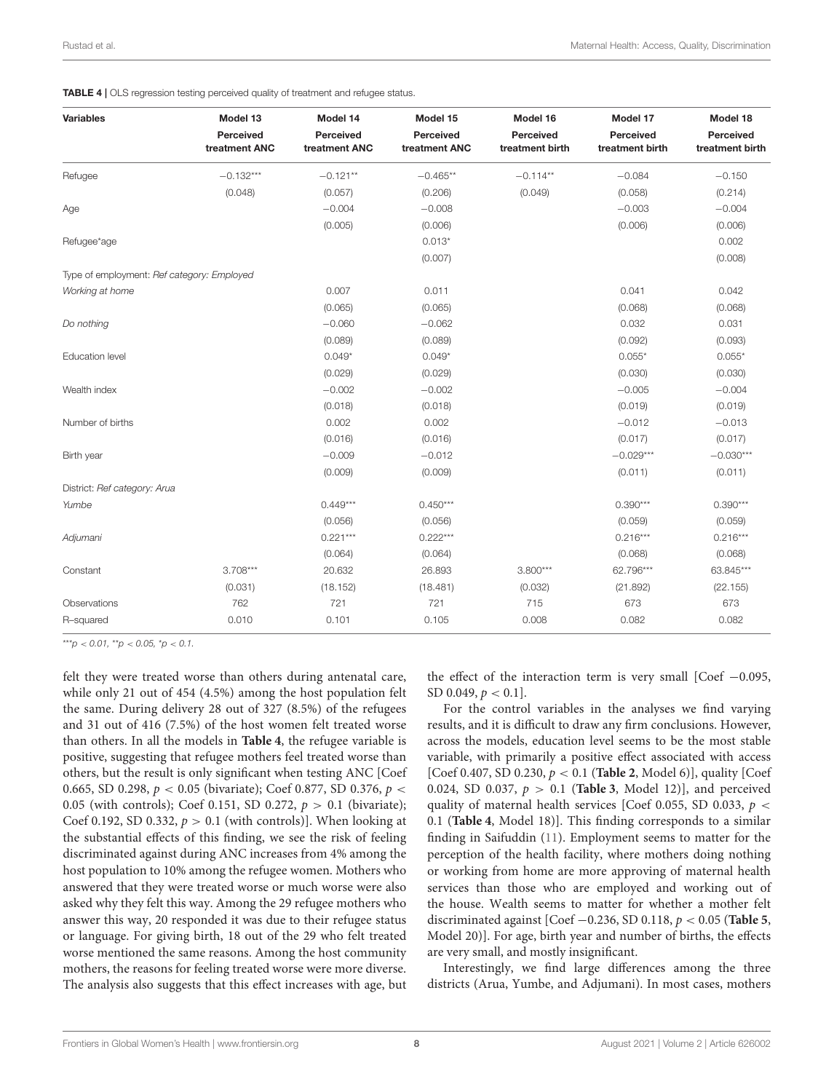<span id="page-7-0"></span>

| <b>Variables</b>                           | Model 13                   | Model 14                   | Model 15                   | Model 16                     | Model 17                     | Model 18                     |
|--------------------------------------------|----------------------------|----------------------------|----------------------------|------------------------------|------------------------------|------------------------------|
|                                            | Perceived<br>treatment ANC | Perceived<br>treatment ANC | Perceived<br>treatment ANC | Perceived<br>treatment birth | Perceived<br>treatment birth | Perceived<br>treatment birth |
| Refugee                                    | $-0.132***$                | $-0.121**$                 | $-0.465**$                 | $-0.114**$                   | $-0.084$                     | $-0.150$                     |
|                                            | (0.048)                    | (0.057)                    | (0.206)                    | (0.049)                      | (0.058)                      | (0.214)                      |
| Age                                        |                            | $-0.004$                   | $-0.008$                   |                              | $-0.003$                     | $-0.004$                     |
|                                            |                            | (0.005)                    | (0.006)                    |                              | (0.006)                      | (0.006)                      |
| Refugee*age                                |                            |                            | $0.013*$                   |                              |                              | 0.002                        |
|                                            |                            |                            | (0.007)                    |                              |                              | (0.008)                      |
| Type of employment: Ref category: Employed |                            |                            |                            |                              |                              |                              |
| Working at home                            |                            | 0.007                      | 0.011                      |                              | 0.041                        | 0.042                        |
|                                            |                            | (0.065)                    | (0.065)                    |                              | (0.068)                      | (0.068)                      |
| Do nothing                                 |                            | $-0.060$                   | $-0.062$                   |                              | 0.032                        | 0.031                        |
|                                            |                            | (0.089)                    | (0.089)                    |                              | (0.092)                      | (0.093)                      |
| Education level                            |                            | $0.049*$                   | $0.049*$                   |                              | $0.055*$                     | $0.055*$                     |
|                                            |                            | (0.029)                    | (0.029)                    |                              | (0.030)                      | (0.030)                      |
| Wealth index                               |                            | $-0.002$                   | $-0.002$                   |                              | $-0.005$                     | $-0.004$                     |
|                                            |                            | (0.018)                    | (0.018)                    |                              | (0.019)                      | (0.019)                      |
| Number of births                           |                            | 0.002                      | 0.002                      |                              | $-0.012$                     | $-0.013$                     |
|                                            |                            | (0.016)                    | (0.016)                    |                              | (0.017)                      | (0.017)                      |
| Birth year                                 |                            | $-0.009$                   | $-0.012$                   |                              | $-0.029***$                  | $-0.030***$                  |
|                                            |                            | (0.009)                    | (0.009)                    |                              | (0.011)                      | (0.011)                      |
| District: Ref category: Arua               |                            |                            |                            |                              |                              |                              |
| Yumbe                                      |                            | $0.449***$                 | $0.450***$                 |                              | $0.390***$                   | $0.390***$                   |
|                                            |                            | (0.056)                    | (0.056)                    |                              | (0.059)                      | (0.059)                      |
| Adjumani                                   |                            | $0.221***$                 | $0.222***$                 |                              | $0.216***$                   | $0.216***$                   |
|                                            |                            | (0.064)                    | (0.064)                    |                              | (0.068)                      | (0.068)                      |
| Constant                                   | $3.708***$                 | 20.632                     | 26.893                     | $3.800***$                   | 62.796***                    | 63.845***                    |
|                                            | (0.031)                    | (18.152)                   | (18.481)                   | (0.032)                      | (21.892)                     | (22.155)                     |
| Observations                               | 762                        | 721                        | 721                        | 715                          | 673                          | 673                          |
| R-squared                                  | 0.010                      | 0.101                      | 0.105                      | 0.008                        | 0.082                        | 0.082                        |

 $***p$  < 0.01, \*\*p < 0.05, \*p < 0.1.

felt they were treated worse than others during antenatal care, while only 21 out of 454 (4.5%) among the host population felt the same. During delivery 28 out of 327 (8.5%) of the refugees and 31 out of 416 (7.5%) of the host women felt treated worse than others. In all the models in **[Table 4](#page-7-0)**, the refugee variable is positive, suggesting that refugee mothers feel treated worse than others, but the result is only significant when testing ANC [Coef 0.665, SD 0.298,  $p < 0.05$  (bivariate); Coef 0.877, SD 0.376,  $p <$ 0.05 (with controls); Coef 0.151, SD 0.272,  $p > 0.1$  (bivariate); Coef 0.192, SD 0.332,  $p > 0.1$  (with controls)]. When looking at the substantial effects of this finding, we see the risk of feeling discriminated against during ANC increases from 4% among the host population to 10% among the refugee women. Mothers who answered that they were treated worse or much worse were also asked why they felt this way. Among the 29 refugee mothers who answer this way, 20 responded it was due to their refugee status or language. For giving birth, 18 out of the 29 who felt treated worse mentioned the same reasons. Among the host community mothers, the reasons for feeling treated worse were more diverse. The analysis also suggests that this effect increases with age, but

the effect of the interaction term is very small  $[Coef -0.095,$ SD 0.049,  $p < 0.1$ ].

For the control variables in the analyses we find varying results, and it is difficult to draw any firm conclusions. However, across the models, education level seems to be the most stable variable, with primarily a positive effect associated with access [Coef 0.407, SD 0.230, p < 0.1 (**[Table 2](#page-5-0)**, Model 6)], quality [Coef 0.024, SD 0.037,  $p > 0.1$  (**[Table 3](#page-6-0)**, Model 12)], and perceived quality of maternal health services [Coef 0.055, SD 0.033,  $p <$ 0.1 (**[Table 4](#page-7-0)**, Model 18)]. This finding corresponds to a similar finding in Saifuddin [\(11\)](#page-12-8). Employment seems to matter for the perception of the health facility, where mothers doing nothing or working from home are more approving of maternal health services than those who are employed and working out of the house. Wealth seems to matter for whether a mother felt discriminated against [Coef −0.236, SD 0.118, p < 0.05 (**[Table 5](#page-10-0)**, Model 20)]. For age, birth year and number of births, the effects are very small, and mostly insignificant.

Interestingly, we find large differences among the three districts (Arua, Yumbe, and Adjumani). In most cases, mothers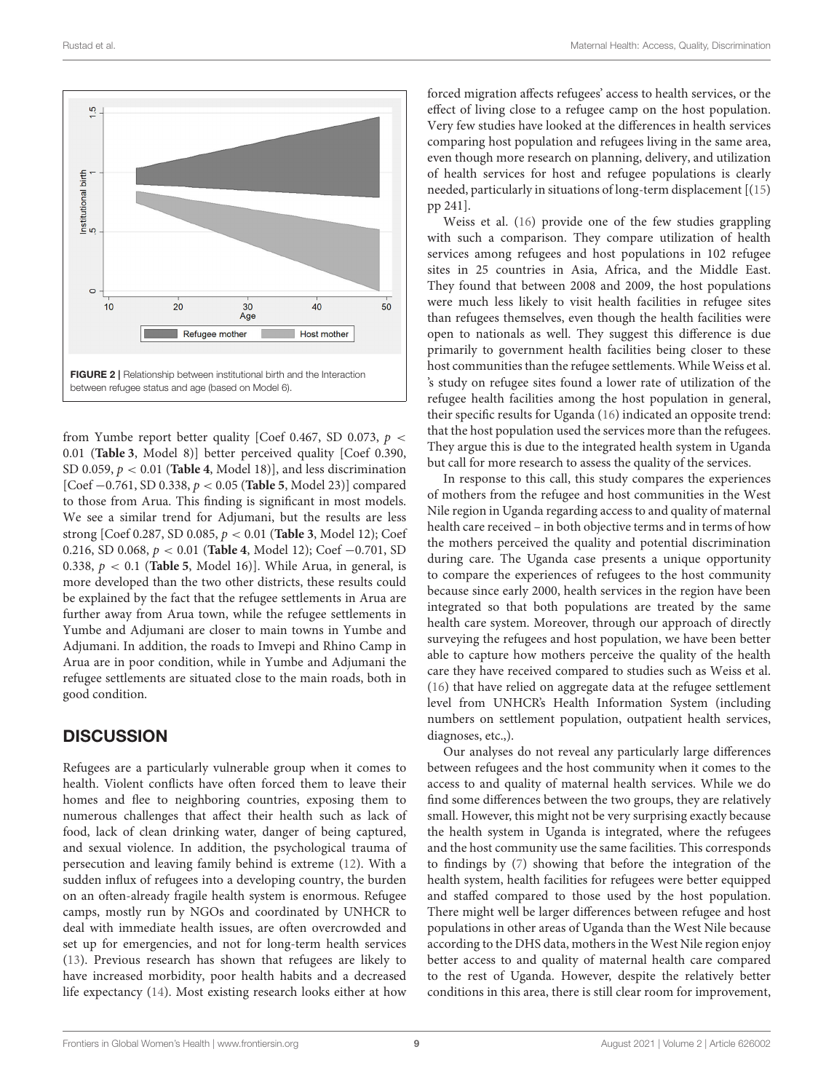

<span id="page-8-0"></span>from Yumbe report better quality [Coef 0.467, SD 0.073,  $p \lt \sqrt{ }$ 0.01 (**[Table 3](#page-6-0)**, Model 8)] better perceived quality [Coef 0.390, SD 0.059, p < 0.01 (**[Table 4](#page-7-0)**, Model 18)], and less discrimination [Coef −0.761, SD 0.338, p < 0.05 (**[Table 5](#page-10-0)**, Model 23)] compared to those from Arua. This finding is significant in most models. We see a similar trend for Adjumani, but the results are less strong [Coef 0.287, SD 0.085, p < 0.01 (**[Table 3](#page-6-0)**, Model 12); Coef 0.216, SD 0.068, p < 0.01 (**[Table 4](#page-7-0)**, Model 12); Coef −0.701, SD 0.338,  $p < 0.1$  ([Table 5](#page-10-0), Model 16)]. While Arua, in general, is more developed than the two other districts, these results could be explained by the fact that the refugee settlements in Arua are further away from Arua town, while the refugee settlements in Yumbe and Adjumani are closer to main towns in Yumbe and Adjumani. In addition, the roads to Imvepi and Rhino Camp in Arua are in poor condition, while in Yumbe and Adjumani the refugee settlements are situated close to the main roads, both in good condition.

### **DISCUSSION**

Refugees are a particularly vulnerable group when it comes to health. Violent conflicts have often forced them to leave their homes and flee to neighboring countries, exposing them to numerous challenges that affect their health such as lack of food, lack of clean drinking water, danger of being captured, and sexual violence. In addition, the psychological trauma of persecution and leaving family behind is extreme [\(12\)](#page-12-9). With a sudden influx of refugees into a developing country, the burden on an often-already fragile health system is enormous. Refugee camps, mostly run by NGOs and coordinated by UNHCR to deal with immediate health issues, are often overcrowded and set up for emergencies, and not for long-term health services [\(13\)](#page-12-10). Previous research has shown that refugees are likely to have increased morbidity, poor health habits and a decreased life expectancy [\(14\)](#page-12-11). Most existing research looks either at how

forced migration affects refugees' access to health services, or the effect of living close to a refugee camp on the host population. Very few studies have looked at the differences in health services comparing host population and refugees living in the same area, even though more research on planning, delivery, and utilization of health services for host and refugee populations is clearly needed, particularly in situations of long-term displacement [[\(15\)](#page-12-12) pp 241].

Weiss et al. [\(16\)](#page-12-13) provide one of the few studies grappling with such a comparison. They compare utilization of health services among refugees and host populations in 102 refugee sites in 25 countries in Asia, Africa, and the Middle East. They found that between 2008 and 2009, the host populations were much less likely to visit health facilities in refugee sites than refugees themselves, even though the health facilities were open to nationals as well. They suggest this difference is due primarily to government health facilities being closer to these host communities than the refugee settlements. While Weiss et al. 's study on refugee sites found a lower rate of utilization of the refugee health facilities among the host population in general, their specific results for Uganda [\(16\)](#page-12-13) indicated an opposite trend: that the host population used the services more than the refugees. They argue this is due to the integrated health system in Uganda but call for more research to assess the quality of the services.

In response to this call, this study compares the experiences of mothers from the refugee and host communities in the West Nile region in Uganda regarding access to and quality of maternal health care received – in both objective terms and in terms of how the mothers perceived the quality and potential discrimination during care. The Uganda case presents a unique opportunity to compare the experiences of refugees to the host community because since early 2000, health services in the region have been integrated so that both populations are treated by the same health care system. Moreover, through our approach of directly surveying the refugees and host population, we have been better able to capture how mothers perceive the quality of the health care they have received compared to studies such as Weiss et al. [\(16\)](#page-12-13) that have relied on aggregate data at the refugee settlement level from UNHCR's Health Information System (including numbers on settlement population, outpatient health services, diagnoses, etc.,).

Our analyses do not reveal any particularly large differences between refugees and the host community when it comes to the access to and quality of maternal health services. While we do find some differences between the two groups, they are relatively small. However, this might not be very surprising exactly because the health system in Uganda is integrated, where the refugees and the host community use the same facilities. This corresponds to findings by [\(7\)](#page-12-4) showing that before the integration of the health system, health facilities for refugees were better equipped and staffed compared to those used by the host population. There might well be larger differences between refugee and host populations in other areas of Uganda than the West Nile because according to the DHS data, mothers in the West Nile region enjoy better access to and quality of maternal health care compared to the rest of Uganda. However, despite the relatively better conditions in this area, there is still clear room for improvement,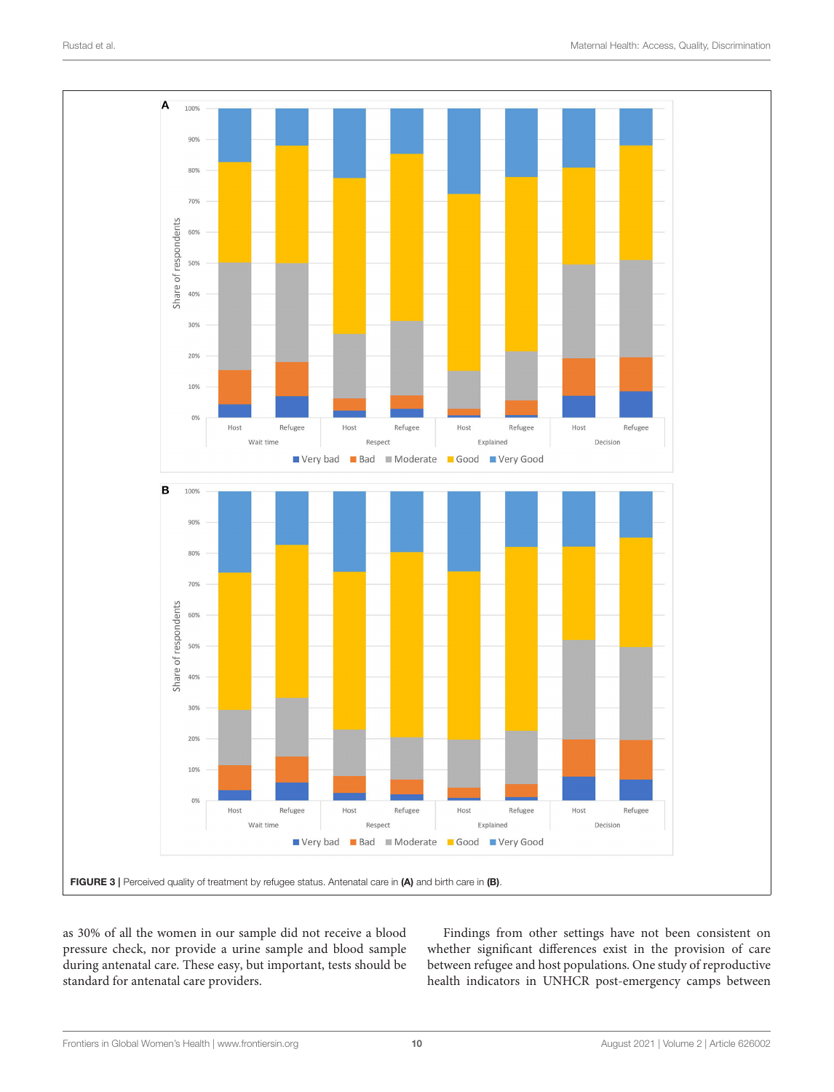

<span id="page-9-0"></span>as 30% of all the women in our sample did not receive a blood pressure check, nor provide a urine sample and blood sample during antenatal care. These easy, but important, tests should be standard for antenatal care providers.

Findings from other settings have not been consistent on whether significant differences exist in the provision of care between refugee and host populations. One study of reproductive health indicators in UNHCR post-emergency camps between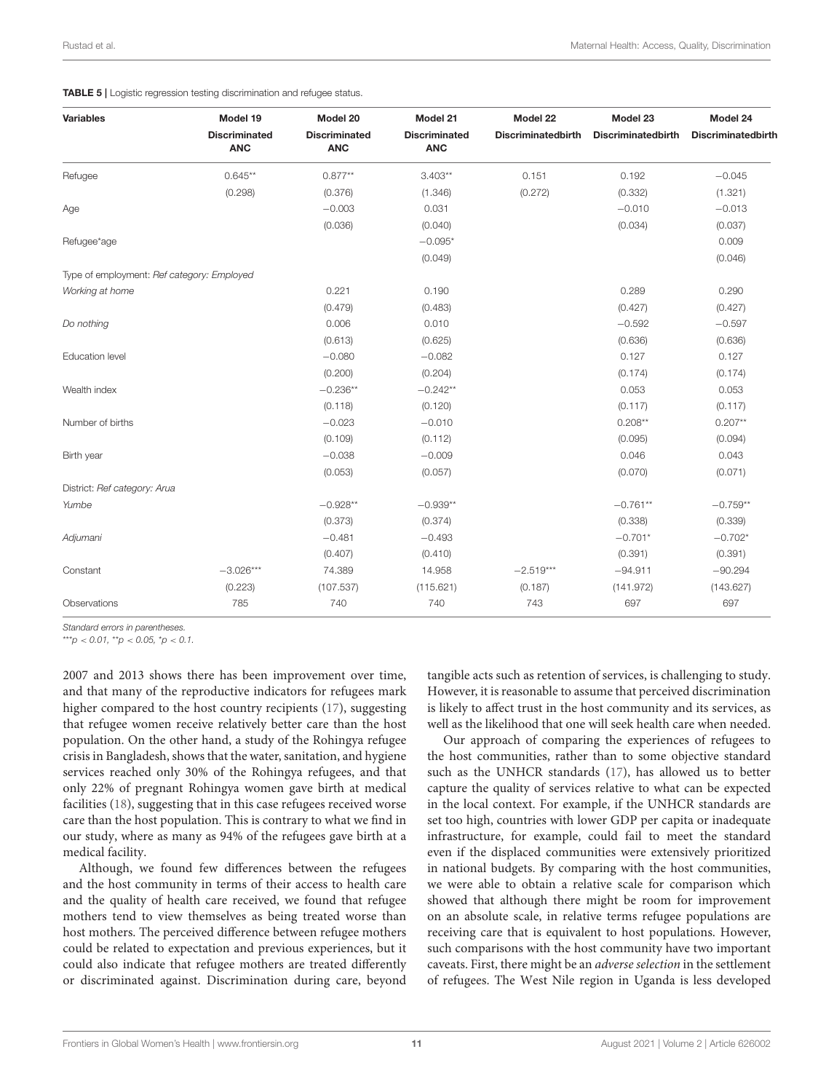#### <span id="page-10-0"></span>TABLE 5 | Logistic regression testing discrimination and refugee status.

| <b>Variables</b>                           | Model 19                           | Model 20                           | Model 21                           | Model 22                  | Model 23                  | Model 24                  |
|--------------------------------------------|------------------------------------|------------------------------------|------------------------------------|---------------------------|---------------------------|---------------------------|
|                                            | <b>Discriminated</b><br><b>ANC</b> | <b>Discriminated</b><br><b>ANC</b> | <b>Discriminated</b><br><b>ANC</b> | <b>Discriminatedbirth</b> | <b>Discriminatedbirth</b> | <b>Discriminatedbirth</b> |
| Refugee                                    | $0.645**$                          | $0.877**$                          | $3.403**$                          | 0.151                     | 0.192                     | $-0.045$                  |
|                                            | (0.298)                            | (0.376)                            | (1.346)                            | (0.272)                   | (0.332)                   | (1.321)                   |
| Age                                        |                                    | $-0.003$                           | 0.031                              |                           | $-0.010$                  | $-0.013$                  |
|                                            |                                    | (0.036)                            | (0.040)                            |                           | (0.034)                   | (0.037)                   |
| Refugee*age                                |                                    |                                    | $-0.095*$                          |                           |                           | 0.009                     |
|                                            |                                    |                                    | (0.049)                            |                           |                           | (0.046)                   |
| Type of employment: Ref category: Employed |                                    |                                    |                                    |                           |                           |                           |
| Working at home                            |                                    | 0.221                              | 0.190                              |                           | 0.289                     | 0.290                     |
|                                            |                                    | (0.479)                            | (0.483)                            |                           | (0.427)                   | (0.427)                   |
| Do nothing                                 |                                    | 0.006                              | 0.010                              |                           | $-0.592$                  | $-0.597$                  |
|                                            |                                    | (0.613)                            | (0.625)                            |                           | (0.636)                   | (0.636)                   |
| <b>Education level</b>                     |                                    | $-0.080$                           | $-0.082$                           |                           | 0.127                     | 0.127                     |
|                                            |                                    | (0.200)                            | (0.204)                            |                           | (0.174)                   | (0.174)                   |
| Wealth index                               |                                    | $-0.236**$                         | $-0.242**$                         |                           | 0.053                     | 0.053                     |
|                                            |                                    | (0.118)                            | (0.120)                            |                           | (0.117)                   | (0.117)                   |
| Number of births                           |                                    | $-0.023$                           | $-0.010$                           |                           | $0.208**$                 | $0.207**$                 |
|                                            |                                    | (0.109)                            | (0.112)                            |                           | (0.095)                   | (0.094)                   |
| Birth year                                 |                                    | $-0.038$                           | $-0.009$                           |                           | 0.046                     | 0.043                     |
|                                            |                                    | (0.053)                            | (0.057)                            |                           | (0.070)                   | (0.071)                   |
| District: Ref category: Arua               |                                    |                                    |                                    |                           |                           |                           |
| Yumbe                                      |                                    | $-0.928**$                         | $-0.939**$                         |                           | $-0.761**$                | $-0.759**$                |
|                                            |                                    | (0.373)                            | (0.374)                            |                           | (0.338)                   | (0.339)                   |
| Adjumani                                   |                                    | $-0.481$                           | $-0.493$                           |                           | $-0.701*$                 | $-0.702*$                 |
|                                            |                                    | (0.407)                            | (0.410)                            |                           | (0.391)                   | (0.391)                   |
| Constant                                   | $-3.026***$                        | 74.389                             | 14.958                             | $-2.519***$               | $-94.911$                 | $-90.294$                 |
|                                            | (0.223)                            | (107.537)                          | (115.621)                          | (0.187)                   | (141.972)                 | (143.627)                 |
| Observations                               | 785                                | 740                                | 740                                | 743                       | 697                       | 697                       |

*Standard errors in parentheses.*

\*\*\**p* < *0.01,* \*\**p* < *0.05,* \**p* < *0.1.*

2007 and 2013 shows there has been improvement over time, and that many of the reproductive indicators for refugees mark higher compared to the host country recipients [\(17\)](#page-12-14), suggesting that refugee women receive relatively better care than the host population. On the other hand, a study of the Rohingya refugee crisis in Bangladesh, shows that the water, sanitation, and hygiene services reached only 30% of the Rohingya refugees, and that only 22% of pregnant Rohingya women gave birth at medical facilities [\(18\)](#page-12-15), suggesting that in this case refugees received worse care than the host population. This is contrary to what we find in our study, where as many as 94% of the refugees gave birth at a medical facility.

Although, we found few differences between the refugees and the host community in terms of their access to health care and the quality of health care received, we found that refugee mothers tend to view themselves as being treated worse than host mothers. The perceived difference between refugee mothers could be related to expectation and previous experiences, but it could also indicate that refugee mothers are treated differently or discriminated against. Discrimination during care, beyond tangible acts such as retention of services, is challenging to study. However, it is reasonable to assume that perceived discrimination is likely to affect trust in the host community and its services, as well as the likelihood that one will seek health care when needed.

Our approach of comparing the experiences of refugees to the host communities, rather than to some objective standard such as the UNHCR standards [\(17\)](#page-12-14), has allowed us to better capture the quality of services relative to what can be expected in the local context. For example, if the UNHCR standards are set too high, countries with lower GDP per capita or inadequate infrastructure, for example, could fail to meet the standard even if the displaced communities were extensively prioritized in national budgets. By comparing with the host communities, we were able to obtain a relative scale for comparison which showed that although there might be room for improvement on an absolute scale, in relative terms refugee populations are receiving care that is equivalent to host populations. However, such comparisons with the host community have two important caveats. First, there might be an adverse selection in the settlement of refugees. The West Nile region in Uganda is less developed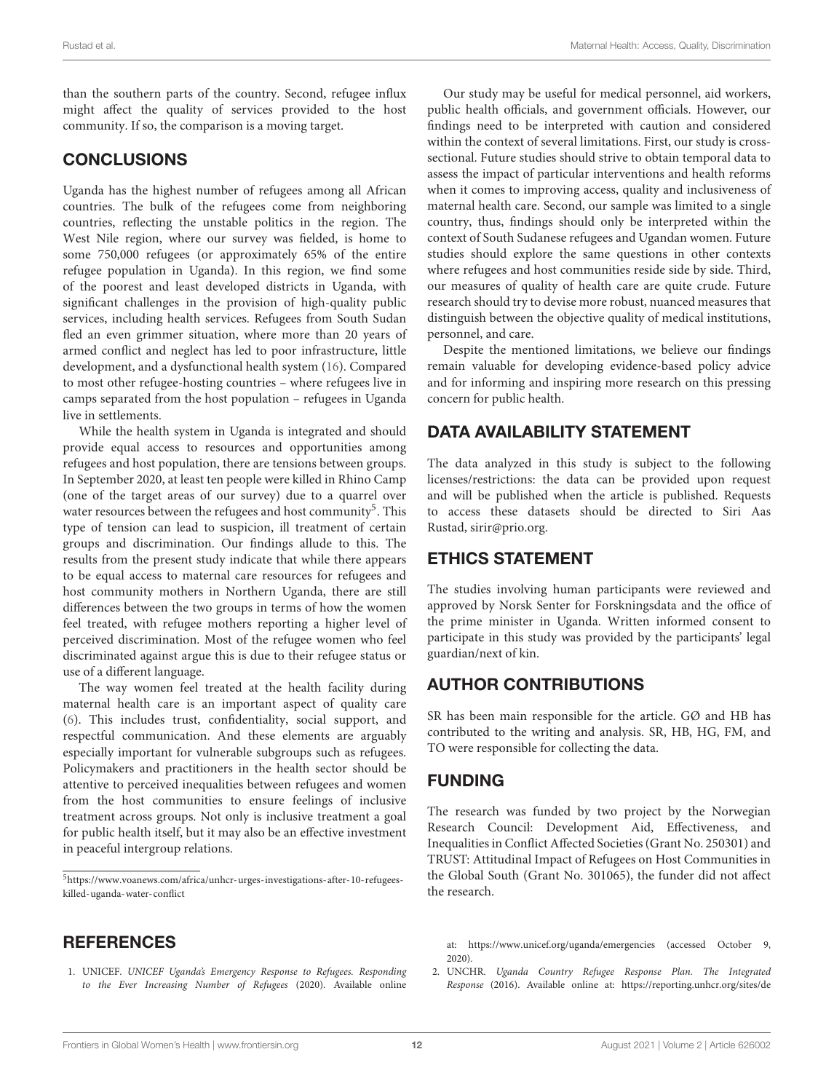than the southern parts of the country. Second, refugee influx might affect the quality of services provided to the host community. If so, the comparison is a moving target.

### **CONCLUSIONS**

Uganda has the highest number of refugees among all African countries. The bulk of the refugees come from neighboring countries, reflecting the unstable politics in the region. The West Nile region, where our survey was fielded, is home to some 750,000 refugees (or approximately 65% of the entire refugee population in Uganda). In this region, we find some of the poorest and least developed districts in Uganda, with significant challenges in the provision of high-quality public services, including health services. Refugees from South Sudan fled an even grimmer situation, where more than 20 years of armed conflict and neglect has led to poor infrastructure, little development, and a dysfunctional health system [\(16\)](#page-12-13). Compared to most other refugee-hosting countries – where refugees live in camps separated from the host population – refugees in Uganda live in settlements.

While the health system in Uganda is integrated and should provide equal access to resources and opportunities among refugees and host population, there are tensions between groups. In September 2020, at least ten people were killed in Rhino Camp (one of the target areas of our survey) due to a quarrel over water resources between the refugees and host community<sup>[5](#page-11-2)</sup>. This type of tension can lead to suspicion, ill treatment of certain groups and discrimination. Our findings allude to this. The results from the present study indicate that while there appears to be equal access to maternal care resources for refugees and host community mothers in Northern Uganda, there are still differences between the two groups in terms of how the women feel treated, with refugee mothers reporting a higher level of perceived discrimination. Most of the refugee women who feel discriminated against argue this is due to their refugee status or use of a different language.

The way women feel treated at the health facility during maternal health care is an important aspect of quality care [\(6\)](#page-12-3). This includes trust, confidentiality, social support, and respectful communication. And these elements are arguably especially important for vulnerable subgroups such as refugees. Policymakers and practitioners in the health sector should be attentive to perceived inequalities between refugees and women from the host communities to ensure feelings of inclusive treatment across groups. Not only is inclusive treatment a goal for public health itself, but it may also be an effective investment in peaceful intergroup relations.

### **REFERENCES**

<span id="page-11-0"></span>1. UNICEF. UNICEF Uganda's Emergency Response to Refugees. Responding to the Ever Increasing Number of Refugees (2020). Available online

Our study may be useful for medical personnel, aid workers, public health officials, and government officials. However, our findings need to be interpreted with caution and considered within the context of several limitations. First, our study is crosssectional. Future studies should strive to obtain temporal data to assess the impact of particular interventions and health reforms when it comes to improving access, quality and inclusiveness of maternal health care. Second, our sample was limited to a single country, thus, findings should only be interpreted within the context of South Sudanese refugees and Ugandan women. Future studies should explore the same questions in other contexts where refugees and host communities reside side by side. Third, our measures of quality of health care are quite crude. Future research should try to devise more robust, nuanced measures that distinguish between the objective quality of medical institutions, personnel, and care.

Despite the mentioned limitations, we believe our findings remain valuable for developing evidence-based policy advice and for informing and inspiring more research on this pressing concern for public health.

# DATA AVAILABILITY STATEMENT

The data analyzed in this study is subject to the following licenses/restrictions: the data can be provided upon request and will be published when the article is published. Requests to access these datasets should be directed to Siri Aas Rustad, sirir@prio.org.

### ETHICS STATEMENT

The studies involving human participants were reviewed and approved by Norsk Senter for Forskningsdata and the office of the prime minister in Uganda. Written informed consent to participate in this study was provided by the participants' legal guardian/next of kin.

### AUTHOR CONTRIBUTIONS

SR has been main responsible for the article. GØ and HB has contributed to the writing and analysis. SR, HB, HG, FM, and TO were responsible for collecting the data.

### FUNDING

The research was funded by two project by the Norwegian Research Council: Development Aid, Effectiveness, and Inequalities in Conflict Affected Societies (Grant No. 250301) and TRUST: Attitudinal Impact of Refugees on Host Communities in the Global South (Grant No. 301065), the funder did not affect the research.

at:<https://www.unicef.org/uganda/emergencies> (accessed October 9, 2020).

<span id="page-11-1"></span>2. UNCHR. Uganda Country Refugee Response Plan. The Integrated Response (2016). Available online at: https://reporting.unhcr.org/sites/de

<span id="page-11-2"></span> $^{5}$ [https://www.voanews.com/africa/unhcr-urges-investigations-after-10-refugees](https://www.voanews.com/africa/unhcr-urges-investigations-after-10-refugees-killed-uganda-water-conflict)[killed-uganda-water-conflict](https://www.voanews.com/africa/unhcr-urges-investigations-after-10-refugees-killed-uganda-water-conflict)